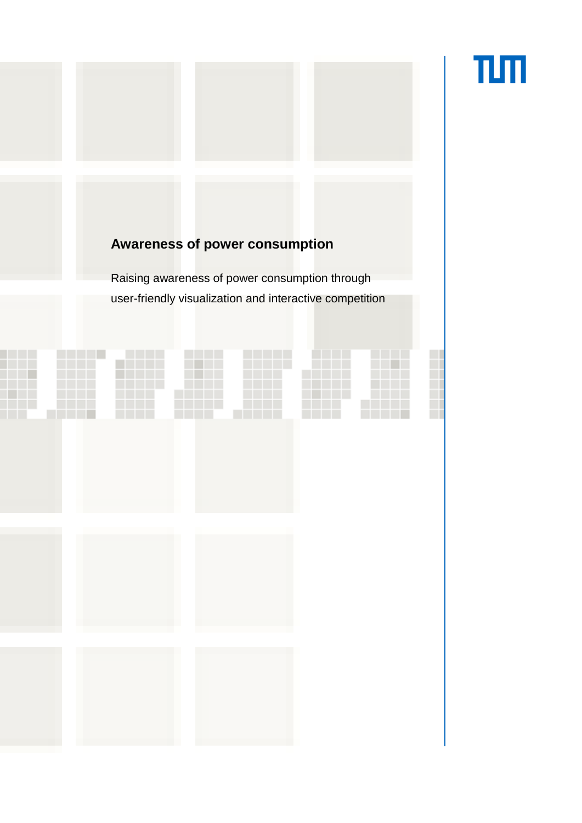# πл

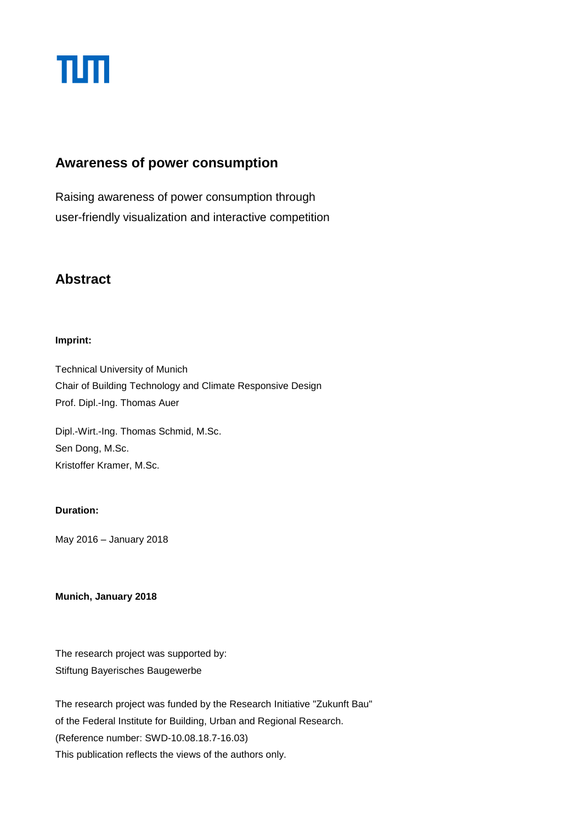

#### **Awareness of power consumption**

Raising awareness of power consumption through user-friendly visualization and interactive competition

### **Abstract**

#### **Imprint:**

Technical University of Munich Chair of Building Technology and Climate Responsive Design Prof. Dipl.-Ing. Thomas Auer

Dipl.-Wirt.-Ing. Thomas Schmid, M.Sc. Sen Dong, M.Sc. Kristoffer Kramer, M.Sc.

#### **Duration:**

May 2016 – January 2018

**Munich, January 2018**

The research project was supported by: Stiftung Bayerisches Baugewerbe

The research project was funded by the Research Initiative "Zukunft Bau" of the Federal Institute for Building, Urban and Regional Research. (Reference number: SWD-10.08.18.7-16.03) This publication reflects the views of the authors only.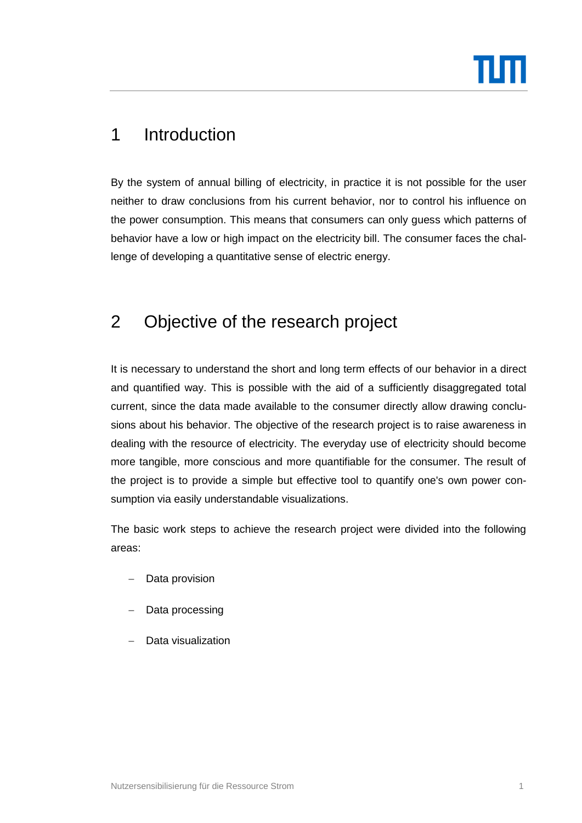

## 1 Introduction

By the system of annual billing of electricity, in practice it is not possible for the user neither to draw conclusions from his current behavior, nor to control his influence on the power consumption. This means that consumers can only guess which patterns of behavior have a low or high impact on the electricity bill. The consumer faces the challenge of developing a quantitative sense of electric energy.

## 2 Objective of the research project

It is necessary to understand the short and long term effects of our behavior in a direct and quantified way. This is possible with the aid of a sufficiently disaggregated total current, since the data made available to the consumer directly allow drawing conclusions about his behavior. The objective of the research project is to raise awareness in dealing with the resource of electricity. The everyday use of electricity should become more tangible, more conscious and more quantifiable for the consumer. The result of the project is to provide a simple but effective tool to quantify one's own power consumption via easily understandable visualizations.

The basic work steps to achieve the research project were divided into the following areas:

- Data provision
- Data processing
- Data visualization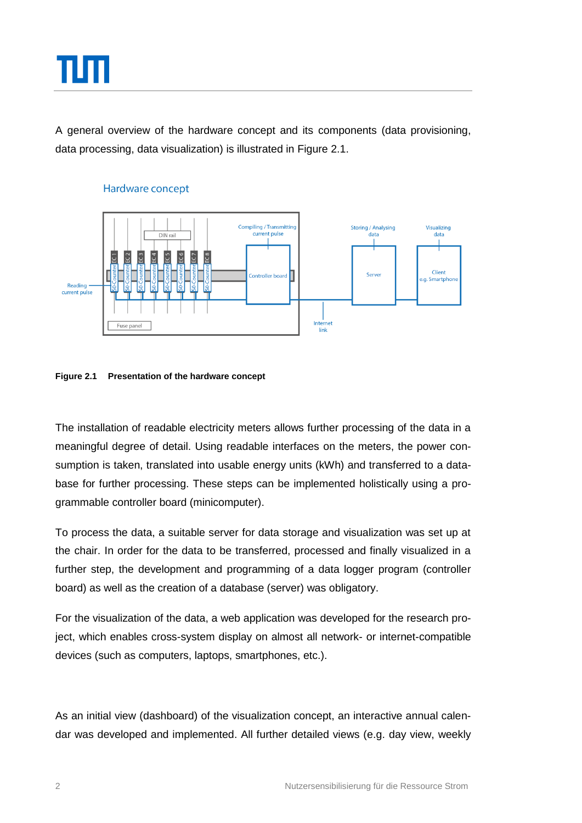

A general overview of the hardware concept and its components (data provisioning, data processing, data visualization) is illustrated in [Figure 2.1.](#page-3-0)



#### Hardware concept

<span id="page-3-0"></span>

The installation of readable electricity meters allows further processing of the data in a meaningful degree of detail. Using readable interfaces on the meters, the power consumption is taken, translated into usable energy units (kWh) and transferred to a database for further processing. These steps can be implemented holistically using a programmable controller board (minicomputer).

To process the data, a suitable server for data storage and visualization was set up at the chair. In order for the data to be transferred, processed and finally visualized in a further step, the development and programming of a data logger program (controller board) as well as the creation of a database (server) was obligatory.

For the visualization of the data, a web application was developed for the research project, which enables cross-system display on almost all network- or internet-compatible devices (such as computers, laptops, smartphones, etc.).

As an initial view (dashboard) of the visualization concept, an interactive annual calendar was developed and implemented. All further detailed views (e.g. day view, weekly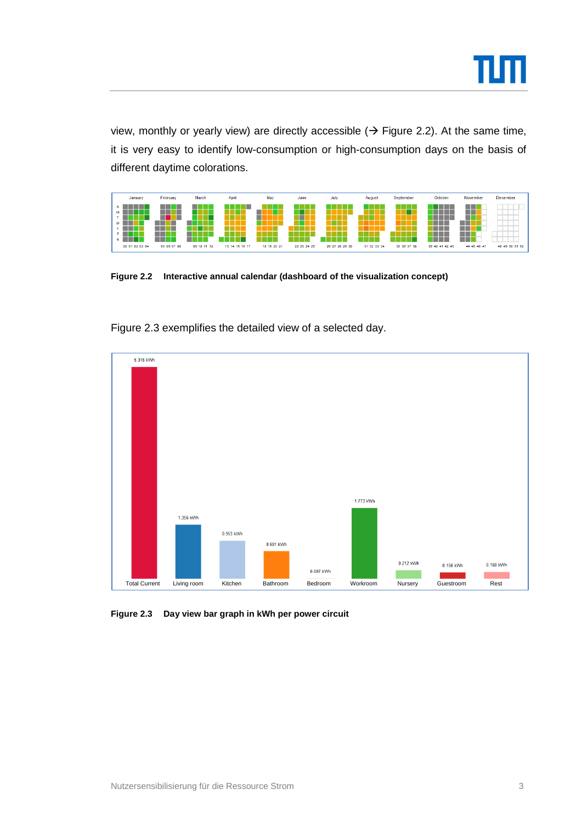

view, monthly or yearly view) are directly accessible  $($  + [Figure 2.2\)](#page-4-0). At the same time, it is very easy to identify low-consumption or high-consumption days on the basis of different daytime colorations.



<span id="page-4-0"></span>**Figure 2.2 Interactive annual calendar (dashboard of the visualization concept)**

[Figure 2.3](#page-4-1) exemplifies the detailed view of a selected day.



<span id="page-4-1"></span>**Figure 2.3 Day view bar graph in kWh per power circuit**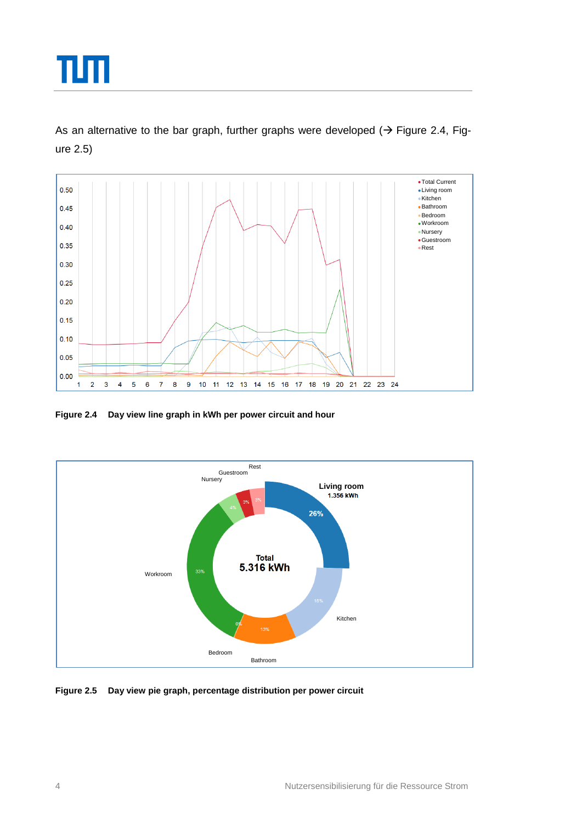

As an alternative to the bar graph, further graphs were developed ( $\rightarrow$  [Figure 2.4,](#page-5-0) [Fig](#page-5-1)[ure 2.5\)](#page-5-1)



<span id="page-5-0"></span>**Figure 2.4 Day view line graph in kWh per power circuit and hour**



<span id="page-5-1"></span>**Figure 2.5 Day view pie graph, percentage distribution per power circuit**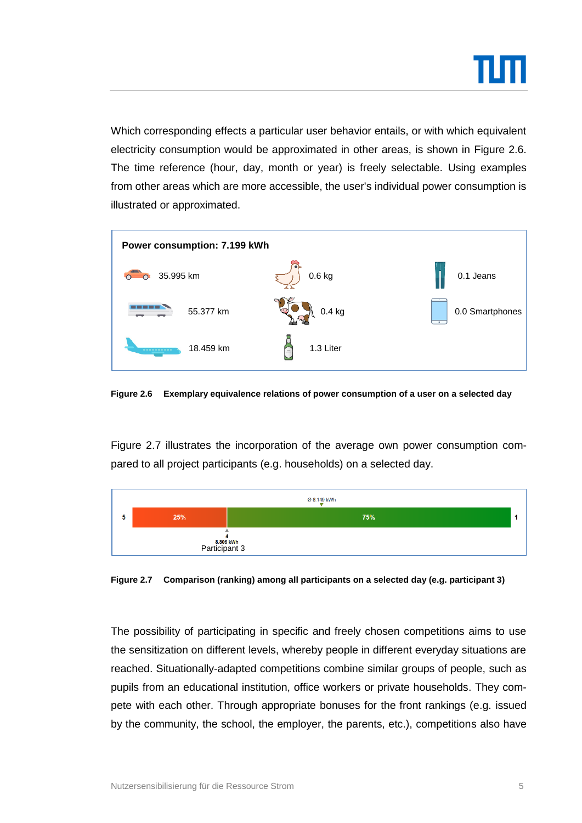

Which corresponding effects a particular user behavior entails, or with which equivalent electricity consumption would be approximated in other areas, is shown in [Figure 2.6.](#page-6-0) The time reference (hour, day, month or year) is freely selectable. Using examples from other areas which are more accessible, the user's individual power consumption is illustrated or approximated.



<span id="page-6-0"></span>**Figure 2.6 Exemplary equivalence relations of power consumption of a user on a selected day**

[Figure 2.7](#page-6-1) illustrates the incorporation of the average own power consumption compared to all project participants (e.g. households) on a selected day.



<span id="page-6-1"></span>**Figure 2.7 Comparison (ranking) among all participants on a selected day (e.g. participant 3)**

The possibility of participating in specific and freely chosen competitions aims to use the sensitization on different levels, whereby people in different everyday situations are reached. Situationally-adapted competitions combine similar groups of people, such as pupils from an educational institution, office workers or private households. They compete with each other. Through appropriate bonuses for the front rankings (e.g. issued by the community, the school, the employer, the parents, etc.), competitions also have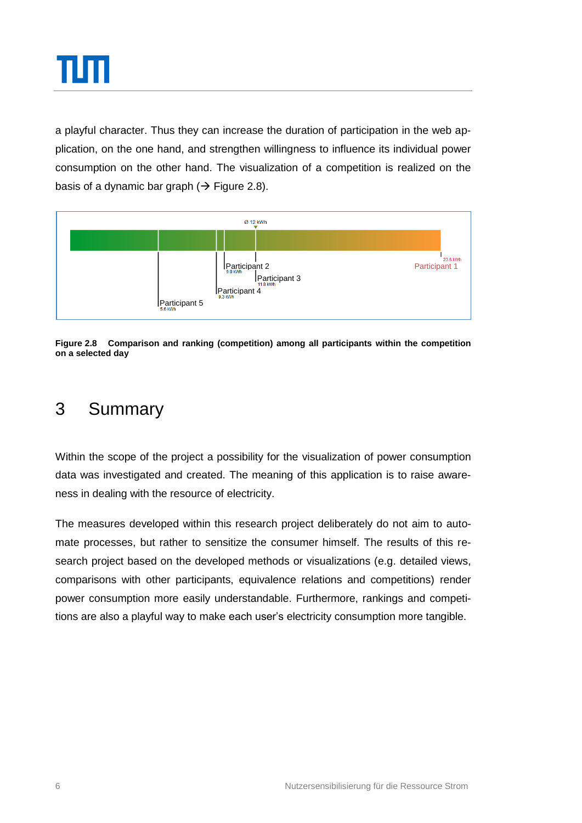

a playful character. Thus they can increase the duration of participation in the web application, on the one hand, and strengthen willingness to influence its individual power consumption on the other hand. The visualization of a competition is realized on the basis of a dynamic bar graph ( $\rightarrow$  [Figure 2.8\)](#page-7-0).



<span id="page-7-0"></span>**Figure 2.8 Comparison and ranking (competition) among all participants within the competition on a selected day**

## 3 Summary

Within the scope of the project a possibility for the visualization of power consumption data was investigated and created. The meaning of this application is to raise awareness in dealing with the resource of electricity.

The measures developed within this research project deliberately do not aim to automate processes, but rather to sensitize the consumer himself. The results of this research project based on the developed methods or visualizations (e.g. detailed views, comparisons with other participants, equivalence relations and competitions) render power consumption more easily understandable. Furthermore, rankings and competitions are also a playful way to make each user's electricity consumption more tangible.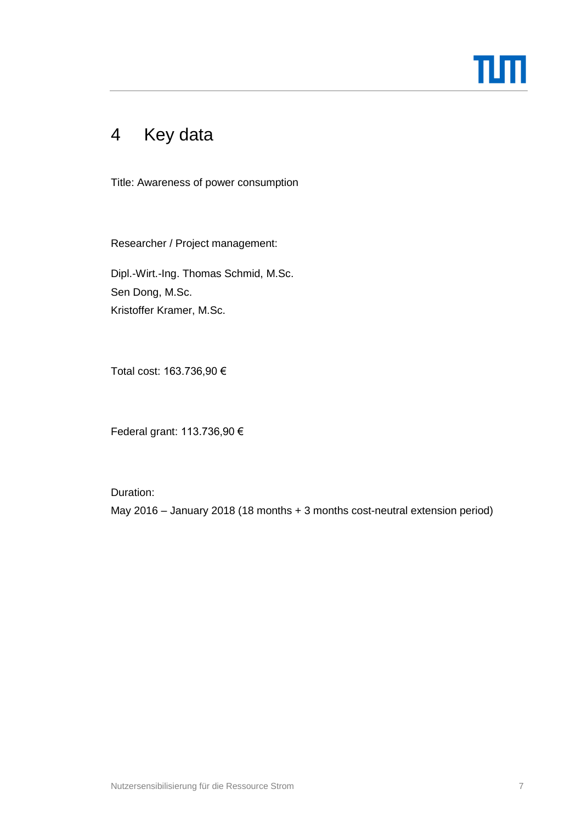

# 4 Key data

Title: Awareness of power consumption

Researcher / Project management:

Dipl.-Wirt.-Ing. Thomas Schmid, M.Sc. Sen Dong, M.Sc. Kristoffer Kramer, M.Sc.

Total cost: 163.736,90 €

Federal grant: 113.736,90 €

Duration:

May 2016 – January 2018 (18 months + 3 months cost-neutral extension period)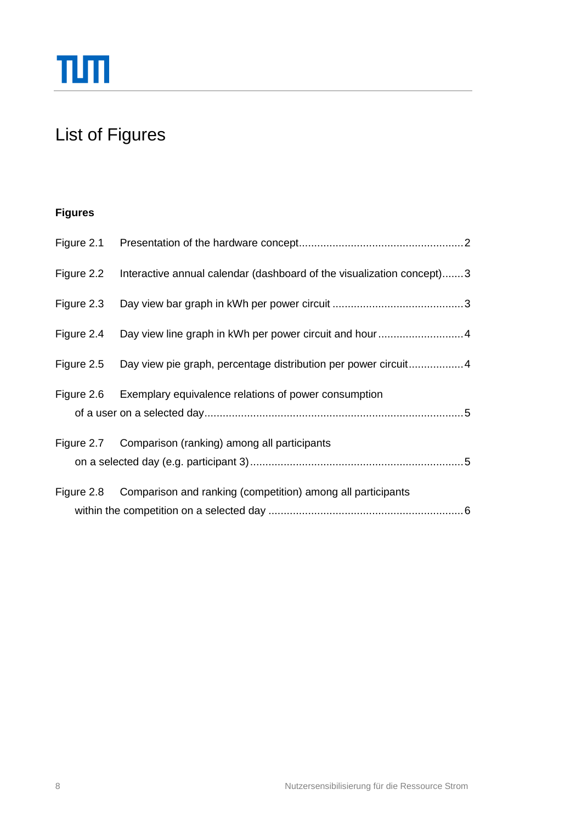# List of Figures

### **Figures**

| Figure 2.2 | Interactive annual calendar (dashboard of the visualization concept)3 |
|------------|-----------------------------------------------------------------------|
| Figure 2.3 |                                                                       |
| Figure 2.4 | Day view line graph in kWh per power circuit and hour4                |
| Figure 2.5 | Day view pie graph, percentage distribution per power circuit4        |
|            | Figure 2.6 Exemplary equivalence relations of power consumption       |
|            | Figure 2.7 Comparison (ranking) among all participants                |
| Figure 2.8 | Comparison and ranking (competition) among all participants           |